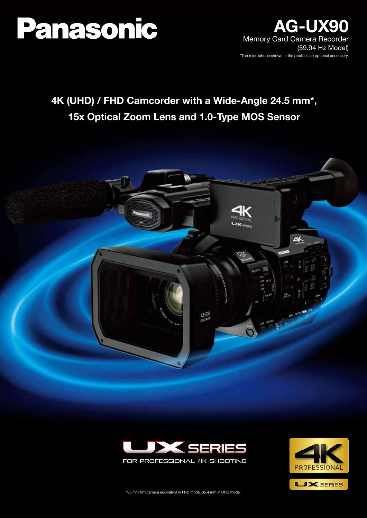

### **AG-UX90** Memory Card Camera Recorder (59.94 Hz Model) \*The microphone shown in the photo is an optional accessory.

# **4K (UHD) / FHD Camcorder with a Wide-Angle 24.5 mm\*, 15x Optical Zoom Lens and 1.0-Type MOS Sensor**







\*35 mm film camera equivalent in FHD mode. 35.4 mm in UHD mode.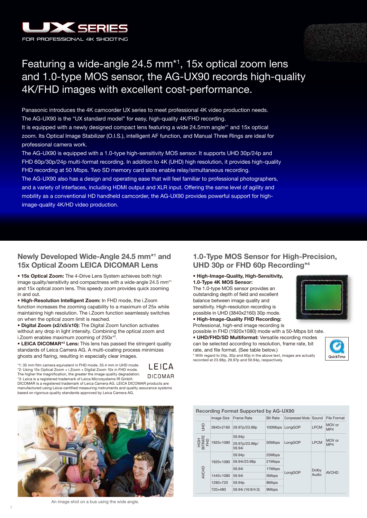



## Featuring a wide-angle 24.5 mm\*1 , 15x optical zoom lens and 1.0-type MOS sensor, the AG-UX90 records high-quality 4K/FHD images with excellent cost-performance.

Panasonic introduces the 4K camcorder UX series to meet professional 4K video production needs. The AG-UX90 is the "UX standard model" for easy, high-quality 4K/FHD recording. It is equipped with a newly designed compact lens featuring a wide 24.5mm angle\*1 and 15x optical

zoom. Its Optical Image Stabilizer (O.I.S.), intelligent AF function, and Manual Three Rings are ideal for professional camera work.

The AG-UX90 is equipped with a 1.0-type high-sensitivity MOS sensor. It supports UHD 30p/24p and FHD 60p/30p/24p multi-format recording. In addition to 4K (UHD) high resolution, it provides high-quality FHD recording at 50 Mbps. Two SD memory card slots enable relay/simultaneous recording. The AG-UX90 also has a design and operating ease that will feel familiar to professional photographers,

and a variety of interfaces, including HDMI output and XLR input. Offering the same level of agility and mobility as a conventional HD handheld camcorder, the AG-UX90 provides powerful support for highimage-quality 4K/HD video production.

#### **Newly Developed Wide-Angle 24.5 mm\*1 and 15x Optical Zoom LEICA DICOMAR Lens**

**• 15x Optical Zoom:** The 4-Drive Lens System achieves both high image quality/sensitivity and compactness with a wide-angle 24.5 mm\*1 and 15x optical zoom lens. This speedy zoom provides quick zooming in and out.

**• High-Resolution Intelligent Zoom:** In FHD mode, the i.Zoom function increases the zooming capability to a maximum of 25x while maintaining high resolution. The i.Zoom function seamlessly switches on when the optical zoom limit is reached.

**• Digital Zoom (x2/x5/x10):** The Digital Zoom function activates without any drop in light intensity. Combining the optical zoom and i.Zoom enables maximum zooming of 250x\*2 .

**• LEICA DICOMAR<sup>\*3</sup> Lens:** This lens has passed the stringent quality standards of Leica Camera AG. A multi-coating process minimizes ghosts and flaring, resulting in especially clear images.

\*1: 35 mm film camera equivalent in FHD mode. 35.4 mm in UHD mode. \*2: Using 15x Optical Zoom + i.Zoom + Digital Zoom 10x in FHD mode. The higher the magnification, the greater the image quality degradation. \*3: Leica is a registered trademark of Leica Microsystems IR GmbH.



DICOMAR is a registered trademark of Leica Camera AG. LEICA DICOMAR products are manufactured using Leica-certified measuring instruments and quality assurance systems based on rigorous quality standards approved by Leica Camera AG.



An image shot on a bus using the wide angle.

#### **1.0-Type MOS Sensor for High-Precision, UHD 30p or FHD 60p Recording\*4**

**• High-Image-Quality, High-Sensitivity, 1.0-Type 4K MOS Sensor:** 

The 1.0-type MOS sensor provides an outstanding depth of field and excellent balance between image quality and sensitivity. High-resolution recording is possible in UHD (3840x2160) 30p mode. **• High-Image-Quality FHD Recording:**



possible in FHD (1920x1080) mode with a 50-Mbps bit rate. **• UHD/FHD/SD Multiformat:** Versatile recording modes can be selected according to resolution, frame rate, bit rate, and file format. (See table below.)



\* With regard to 24p, 30p and 60p in the above text, images are actually recorded at 23.98p, 29.97p and 59.94p, respectively.

#### Image Size Frame Rate Bit Rate Compressed Mode Sound File Format **Recording Format Supported by AG-UX90**

| $rac{1}{2}$                            | 3840×2160 | 29.97p/23.98p            | 100Mbps | LongGOP | <b>LPCM</b> | MOV or<br>MP4 |
|----------------------------------------|-----------|--------------------------|---------|---------|-------------|---------------|
|                                        | 1920×1080 | 59.94p                   | 50Mbps  | LongGOP | <b>LPCM</b> | MOV or<br>MP4 |
| HIGH<br>TRATE<br>FHD<br>$\overline{m}$ |           | 29.97p/23.98p/<br>59.94i |         |         |             |               |
|                                        | 1920×1080 | 59.94p                   | 25Mbps  | LongGOP |             | <b>AVCHD</b>  |
|                                        |           | 59.94i/23.98p            | 21Mbps  |         |             |               |
|                                        |           | 59.94i                   | 17Mbps  |         | Dolby       |               |
| AVCHD                                  | 1440×1080 | 59.94i                   | 5Mbps   |         | Audio       |               |
|                                        | 1280×720  | 59.94p                   | 8Mbps   |         |             |               |
|                                        | 720×480   | 59.94i (16:9/4:3)        | 9Mbps   |         |             |               |

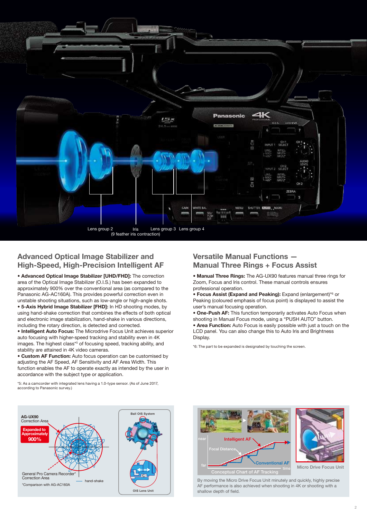

#### **Advanced Optical Image Stabilizer and High-Speed, High-Precision Intelligent AF**

**• Advanced Optical Image Stabilizer [UHD/FHD]:** The correction area of the Optical Image Stabilizer (O.I.S.) has been expanded to approximately 900% over the conventional area (as compared to the Panasonic AG-AC160A). This provides powerful correction even in unstable shooting situations, such as low-angle or high-angle shots. **• 5-Axis Hybrid Image Stabilizer [FHD]:** In HD shooting modes, by using hand-shake correction that combines the effects of both optical and electronic image stabilization, hand-shake in various directions, including the rotary direction, is detected and corrected.

**• Intelligent Auto Focus:** The Microdrive Focus Unit achieves superior auto focusing with higher-speed tracking and stability even in 4K images. The highest class\*<sup>5</sup> of focusing speed, tracking ability, and stability are attained in 4K video cameras.

**• Custom AF Function:** Auto focus operation can be customised by adjusting the AF Speed, AF Sensitivity and AF Area Width. This function enables the AF to operate exactly as intended by the user in accordance with the subject type or application.

\*5: As a camcorder with integrated lens having a 1.0-type sensor. (As of June 2017,

according to Panasonic survey.)

#### **Versatile Manual Functions — Manual Three Rings + Focus Assist**

- **Manual Three Rings:** The AG-UX90 features manual three rings for Zoom, Focus and Iris control. These manual controls ensures professional operation.
- **Focus Assist (Expand and Peaking):** Expand (enlargement)\*6 or Peaking (coloured emphasis of focus point) is displayed to assist the user's manual focusing operation.
- **One-Push AF:** This function temporarily activates Auto Focus when shooting in Manual Focus mode, using a "PUSH AUTO" button.

**• Area Function:** Auto Focus is easily possible with just a touch on the LCD panel. You can also change this to Auto Iris and Brightness Display.

\*6: The part to be expanded is designated by touching the screen.





By moving the Micro Drive Focus Unit minutely and quickly, highly precise AF performance is also achieved when shooting in 4K or shooting with a shallow depth of field.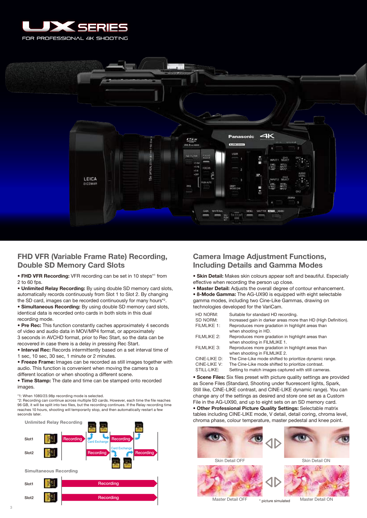



#### **FHD VFR (Variable Frame Rate) Recording, Double SD Memory Card Slots**

**• FHD VFR Recording:** VFR recording can be set in 10 steps<sup>\*1</sup> from 2 to 60 fps.

**• Unlimited Relay Recording:** By using double SD memory card slots, automatically records continuously from Slot 1 to Slot 2. By changing the SD card, images can be recorded continuously for many hours\*2 .

**• Simultaneous Recording:** By using double SD memory card slots, identical data is recorded onto cards in both slots in this dual recording mode.

**• Pre Rec:** This function constantly caches approximately 4 seconds of video and audio data in MOV/MP4 format, or approximately 3 seconds in AVCHD format, prior to Rec Start, so the data can be recovered in case there is a delay in pressing Rec Start.

**• Interval Rec:** Records intermittently based on a set interval time of 1 sec, 10 sec, 30 sec, 1 minute or 2 minutes.

**• Freeze Frame:** Images can be recorded as still images together with audio. This function is convenient when moving the camera to a different location or when shooting a different scene.

**• Time Stamp:** The date and time can be stamped onto recorded images.

\*1: When 1080/23.98p recording mode is selected.

\*2: Recording can continue across multiple SD cards. However, each time the file reaches 96 GB, it will be split into two files, but the recording continues. If the Relay recording time reaches 10 hours, shooting will temporarily stop, and then automatically restart a few seconds later



#### **Camera Image Adjustment Functions, Including Details and Gamma Modes**

**• Skin Detail:** Makes skin colours appear soft and beautiful. Especially effective when recording the person up close.

**• Master Detail:** Adjusts the overall degree of contour enhancement. **• 8-Mode Gamma:** The AG-UX90 is equipped with eight selectable gamma modes, including two Cine-Like Gammas, drawing on technologies developed for the VariCam.

| HD NORM:     | Suitable for standard HD recording.                            |
|--------------|----------------------------------------------------------------|
| SD NORM:     | Increased gain in darker areas more than HD (High Definition). |
| FILMLIKE 1:  | Reproduces more gradation in highlight areas than              |
|              | when shooting in HD.                                           |
| FILMLIKE 2:  | Reproduces more gradation in highlight areas than              |
|              | when shooting in FILMLIKE 1.                                   |
| FILMLIKE 3:  | Reproduces more gradation in highlight areas than              |
|              | when shooting in FILMLIKE 2.                                   |
| CINE-LIKE D: | The Cine-Like mode shifted to prioritize dynamic range.        |
| CINE-LIKE V: | The Cine-Like mode shifted to prioritize contrast.             |
| STILL-LIKE:  | Setting to match images captured with still cameras.           |

**• Scene Files:** Six files preset with picture quality settings are provided as Scene Files (Standard, Shooting under fluorescent lights, Spark, Still like, CINE-LIKE contrast, and CINE-LIKE dynamic range). You can change any of the settings as desired and store one set as a Custom File in the AG-UX90, and up to eight sets on an SD memory card.

**• Other Professional Picture Quality Settings:** Selectable matrix tables including CINE-LIKE mode, V detail, detail coring, chroma level, chroma phase, colour temperature, master pedestal and knee point.

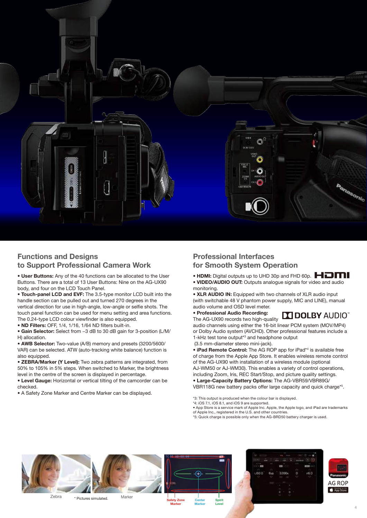

#### **Functions and Designs to Support Professional Camera Work**

**• User Buttons:** Any of the 40 functions can be allocated to the User Buttons. There are a total of 13 User Buttons: Nine on the AG-UX90 body, and four on the LCD Touch Panel.

**• Touch-panel LCD and EVF:** The 3.5-type monitor LCD built into the handle section can be pulled out and turned 270 degrees in the vertical direction for use in high-angle, low-angle or selfie shots. The touch panel function can be used for menu setting and area functions. The 0.24-type LCD colour viewfinder is also equipped.

**• ND Filters:** OFF, 1/4, 1/16, 1/64 ND filters built-in.

• **Gain Selector:** Select from −3 dB to 30 dB gain for 3-position (L/M/ H) allocation.

**• AWB Selector:** Two-value (A/B) memory and presets (3200/5600/ VAR) can be selected. ATW (auto-tracking white balance) function is also equipped.

**• ZEBRA/Marker (Y Level):** Two zebra patterns are integrated, from 50% to 105% in 5% steps. When switched to Marker, the brightness level in the centre of the screen is displayed in percentage.

**• Level Gauge:** Horizontal or vertical tilting of the camcorder can be checked.

• A Safety Zone Marker and Centre Marker can be displayed.

#### **Professional Interfaces for Smooth System Operation**

- **HDMI:** Digital outputs up to UHD 30p and FHD 60p.  $\blacksquare$
- **VIDEO/AUDIO OUT:** Outputs analogue signals for video and audio monitoring.

**• XLR AUDIO IN:** Equipped with two channels of XLR audio input (with switchable 48 V phantom power supply, MIC and LINE), manual audio volume and OSD level meter. **• Professional Audio Recording:**

## **TT DOLBY AUDIO"**

The AG-UX90 records two high-quality audio channels using either the 16-bit linear PCM system (MOV/MP4) or Dolby Audio system (AVCHD). Other professional features include a 1-kHz test tone output\*3 and headphone output

(3.5 mm-diameter stereo mini-jack).

**• iPad Remote Control:** The AG ROP app for iPad\*<sup>4</sup> is available free of charge from the Apple App Store. It enables wireless remote control of the AG-UX90 with installation of a wireless module (optional AJ-WM50 or AJ-WM30). This enables a variety of control operations, including Zoom, Iris, REC Start/Stop, and picture quality settings. **• Large-Capacity Battery Options:** The AG-VBR59/VBR89G/ VBR118G new battery packs offer large capacity and quick charge\*5 .

- \*3: This output is produced when the colour bar is displayed.
- \*4: iOS 7.1, iOS 8.1, and iOS 9 are supported.
- App Store is a service mark of Apple Inc. Apple, the Apple logo, and iPad are trademarks of Apple Inc., registered in the U.S. and other countries
- \*5: Quick charge is possible only when the AG-BRD50 battery charger is used.

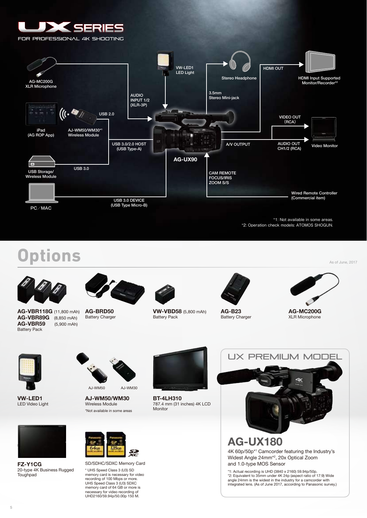



\*1: Not available in some areas. \*2: Operation check models: ATOMOS SHOGUN.

# **Options**



**AG-VBR118G** (11,800 mAh) **AG-VBR89G** (8,850 mAh) **AG-VBR59** (5,900 mAh) Battery Pack





**VW-VBD58** (5,800 mAh) Battery Pack



**AG-B23** Battery Charger



As of June, 2017

**AG-MC200G** XLR Microphone



**VW-LED1** LED Video Light



AJ-WM50 AJ-WM30

**AJ-WM50/WM30** Wireless Module \*Not available in some areas



**BT-4LH310** 787.4 mm (31 inches) 4K LCD Monitor



4K 60p/50p\*1 Camcorder featuring the Industry's Widest Angle 24mm\*2 , 20x Optical Zoom and 1.0-type MOS Sensor

\*1: Actual recording is UHD (3840 x 2160) 59.94p/50p. \*2: Equivalent to 35mm under 4K 24p (aspect ratio of 17:9) Wide angle 24mm is the widest in the industry for a camcorder with integrated lens. (As of June 2017, according to Panasonic survey.)



**FZ-Y1CG** 20-type 4K Business Rugged **Toughpad** 



SD/SDHC/SDXC Memory Card \* UHS Speed Class 3 (U3) SD

memory card is necessary for video recording of 100 Mbps or more. UHS Speed Class 3 (U3) SDXC memory card of 64 GB or more is necessary for video recording of UHD2160/59.94p/50.00p 150 M.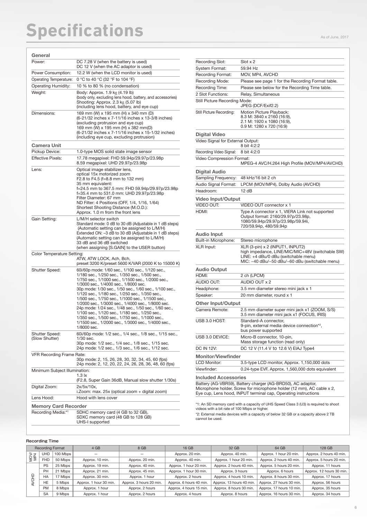| General                                                                                                                                 |                                                                                                                                                                                                                                                                                                                                                                                                                                                                                                                                                                                                                                                                  |  |  |  |
|-----------------------------------------------------------------------------------------------------------------------------------------|------------------------------------------------------------------------------------------------------------------------------------------------------------------------------------------------------------------------------------------------------------------------------------------------------------------------------------------------------------------------------------------------------------------------------------------------------------------------------------------------------------------------------------------------------------------------------------------------------------------------------------------------------------------|--|--|--|
| Power:                                                                                                                                  | DC 7.28 V (when the battery is used)<br>DC 12 V (when the AC adaptor is used)                                                                                                                                                                                                                                                                                                                                                                                                                                                                                                                                                                                    |  |  |  |
| Power Consumption:                                                                                                                      | 12.2 W (when the LCD monitor is used)                                                                                                                                                                                                                                                                                                                                                                                                                                                                                                                                                                                                                            |  |  |  |
| Operating Temperature:                                                                                                                  | 0 °C to 40 °C (32 °F to 104 °F)                                                                                                                                                                                                                                                                                                                                                                                                                                                                                                                                                                                                                                  |  |  |  |
| <b>Operating Humidity:</b>                                                                                                              | 10 % to 80 % (no condensation)                                                                                                                                                                                                                                                                                                                                                                                                                                                                                                                                                                                                                                   |  |  |  |
| Weight:                                                                                                                                 | Body: Approx. 1.9 kg (4.19 lb)<br>(body only, excluding lens hood, battery, and accessories)<br>Shooting: Approx. 2.3 kg (5.07 lb)<br>(including lens hood, battery, and eye cup)                                                                                                                                                                                                                                                                                                                                                                                                                                                                                |  |  |  |
| Dimensions:                                                                                                                             | 169 mm (W) x 195 mm (H) x 340 mm (D)<br>(6-21/32 inches x 7-11/16 inches x 13-3/8 inches)<br>(excluding protrusion and eye cup)<br>169 mm (W) x 195 mm (H) x 382 mm(D)<br>(6-21/32 inches x 7-11/16 inches x 15-1/32 inches)<br>(including eye cup, excluding protrusion)                                                                                                                                                                                                                                                                                                                                                                                        |  |  |  |
| Camera Unit                                                                                                                             |                                                                                                                                                                                                                                                                                                                                                                                                                                                                                                                                                                                                                                                                  |  |  |  |
| Pickup Device:                                                                                                                          | 1.0-type MOS solid state image sensor                                                                                                                                                                                                                                                                                                                                                                                                                                                                                                                                                                                                                            |  |  |  |
| <b>Effective Pixels:</b>                                                                                                                | 17.78 megapixel: FHD 59.94p/29.97p/23.98p<br>8.59 megapixel: UHD 29.97p/23.98p                                                                                                                                                                                                                                                                                                                                                                                                                                                                                                                                                                                   |  |  |  |
| Lens:                                                                                                                                   | Optical image stabilizer lens,<br>optical 15x motorized zoom<br>F2.8 to F4.5 (f=8.8 mm to 132 mm)<br>35 mm equivalent:<br>f=24.5 mm to 367.5 mm: FHD 59.94p/29.97p/23.98p<br>f=35.4 mm to 531.0 mm: UHD 29.97p/23.98p<br>Filter Diameter: 67 mm<br>ND Filter: 4 Positions (OFF, 1/4, 1/16, 1/64)<br>Shortest Shooting Distance (M.O.D.):<br>Approx. 1.0 m from the front lens                                                                                                                                                                                                                                                                                    |  |  |  |
| Gain Setting:                                                                                                                           | L/M/H selector switch<br>Standard mode: 0 dB to 30 dB (Adjustable in 1 dB steps)<br>(Automatic setting can be assigned to L/M/H)<br>Extended ON: -3 dB to 30 dB (Adjustable in 1 dB steps)<br>(Automatic setting can be assigned to L/M/H)<br>33 dB and 36 dB switched<br>(when assigning [S.GAIN] to the USER button)                                                                                                                                                                                                                                                                                                                                           |  |  |  |
| Color Temperature Setting:                                                                                                              | ATW, ATW LOCK, Ach, Bch,                                                                                                                                                                                                                                                                                                                                                                                                                                                                                                                                                                                                                                         |  |  |  |
|                                                                                                                                         | preset 3200 K/preset 5600 K/VAR (2000 K to 15000 K)                                                                                                                                                                                                                                                                                                                                                                                                                                                                                                                                                                                                              |  |  |  |
| Shutter Speed:                                                                                                                          | 60i/60p mode: 1/60 sec., 1/100 sec., 1/120 sec.,<br>1/180 sec., 1/250 sec., 1/350 sec., 1/500 sec.,<br>1/750 sec., 1/1000 sec., 1/1500 sec., 1/2000 sec.,<br>1/3000 sec., 1/4000 sec., 1/8000 sec.<br>30p mode: 1/30 sec., 1/50 sec., 1/60 sec., 1/100 sec.,<br>1/120 sec., 1/180 sec., 1/250 sec., 1/350 sec.,<br>1/500 sec., 1/750 sec., 1/1000 sec., 1/1500 sec.,<br>1/2000 sec., 1/3000 sec., 1/4000 sec., 1/8000 sec.<br>24p mode: 1/24 sec., 1/48 sec., 1/50 sec., 1/60 sec.,<br>1/100 sec., 1/120 sec., 1/180 sec., 1/250 sec.,<br>1/350 sec., 1/500 sec., 1/750 sec., 1/1000 sec.,<br>1/1500 sec., 1/2000 sec., 1/3000 sec., 1/4000 sec.,<br>1/8000 sec. |  |  |  |
| <b>Shutter Speed:</b><br>(Slow Shutter)                                                                                                 | 60i/60p mode: 1/2 sec., 1/4 sec., 1/8 sec., 1/15 sec.,<br>1/30 sec.<br>30p mode: 1/2 sec., 1/4 sec., 1/8 sec., 1/15 sec.<br>24p mode: 1/2 sec., 1/3 sec., 1/6 sec., 1/12 sec.                                                                                                                                                                                                                                                                                                                                                                                                                                                                                    |  |  |  |
| VFR Recording Frame Rate:<br>30p mode: 2, 15, 26, 28, 30, 32, 34, 45, 60 (fps)<br>24p mode: 2, 12, 20, 22, 24, 26, 28, 36, 48, 60 (fps) |                                                                                                                                                                                                                                                                                                                                                                                                                                                                                                                                                                                                                                                                  |  |  |  |
| Minimum Subject Illumination:                                                                                                           | 1.3 lx<br>(F2.8, Super Gain 36dB, Manual slow shutter 1/30s)                                                                                                                                                                                                                                                                                                                                                                                                                                                                                                                                                                                                     |  |  |  |
| Digital Zoom:                                                                                                                           | $2x/5x/10x$ ,<br>i.Zoom: max. 25x (optical zoom + digital zoom)                                                                                                                                                                                                                                                                                                                                                                                                                                                                                                                                                                                                  |  |  |  |
| Lens Hood:                                                                                                                              | Hood with lens cover                                                                                                                                                                                                                                                                                                                                                                                                                                                                                                                                                                                                                                             |  |  |  |
| <b>Memory Card Recorder</b>                                                                                                             |                                                                                                                                                                                                                                                                                                                                                                                                                                                                                                                                                                                                                                                                  |  |  |  |
| Recording Media:*1                                                                                                                      | SDHC memory card (4 GB to 32 GB),<br>SDXC memory card (48 GB to 128 GB)<br>UHS-I supported                                                                                                                                                                                                                                                                                                                                                                                                                                                                                                                                                                       |  |  |  |

| Recording Slot:                               | $Slot \times 2$                                                                                                                                                                                        |  |  |
|-----------------------------------------------|--------------------------------------------------------------------------------------------------------------------------------------------------------------------------------------------------------|--|--|
| System Format:                                | 59.94 Hz                                                                                                                                                                                               |  |  |
| Recording Format:                             | MOV, MP4, AVCHD                                                                                                                                                                                        |  |  |
| Recording Mode:                               | Please see page 1 for the Recording Format table.                                                                                                                                                      |  |  |
| Recording Time:                               | Please see below for the Recording Time table.                                                                                                                                                         |  |  |
| 2 Slot Functions:                             | Relay, Simultaneous                                                                                                                                                                                    |  |  |
| Still Picture Recording Mode:                 | JPEG (DCF/Exif2.2)                                                                                                                                                                                     |  |  |
| Still Picture Recording:                      | Motion Picture Playback:<br>8.3 M: 3840 x 2160 (16:9),<br>2.1 M: 1920 x 1080 (16:9),<br>0.9 M: 1280 x 720 (16:9)                                                                                       |  |  |
| Digital Video                                 |                                                                                                                                                                                                        |  |  |
| Video Signal for External Output:             |                                                                                                                                                                                                        |  |  |
|                                               | 8 bit 4:2:2                                                                                                                                                                                            |  |  |
| Recording Video Signal:                       | 8 bit 4:2:0                                                                                                                                                                                            |  |  |
| Video Compression Format:                     | MPEG-4 AVC/H.264 High Profile (MOV/MP4/AVCHD)                                                                                                                                                          |  |  |
| Digital Audio                                 |                                                                                                                                                                                                        |  |  |
| Sampling Frequency:                           | 48 kHz/16 bit 2 ch                                                                                                                                                                                     |  |  |
| Audio Signal Format:                          | LPCM (MOV/MP4), Dolby Audio (AVCHD)                                                                                                                                                                    |  |  |
| Headroom:                                     | 12dB                                                                                                                                                                                                   |  |  |
| <b>Video Input/Output</b>                     |                                                                                                                                                                                                        |  |  |
| <b>VIDEO OUT:</b>                             | VIDEO OUT connector x 1                                                                                                                                                                                |  |  |
| HDMI:                                         | Type A connector x 1, VIERA Link not supported<br>Output format: 2160/29.97p/23.98p,<br>1080/59.94p/29.97p/23.98p/59.94i,<br>720/59.94p, 480/59.94p                                                    |  |  |
| <b>Audio Input</b>                            |                                                                                                                                                                                                        |  |  |
| Built-in Microphone:                          | Stereo microphone                                                                                                                                                                                      |  |  |
| XLR Input:                                    | XLR (3-pin) x 2 (INPUT1, INPUT2)<br>high impedance, LINE/MIC/MIC+48V (switchable SW)<br>LINE: +4 dBu/0 dBu (switchable menu)<br>MIC: -40 dBu/-50 dBu/-60 dBu (switchable menu)                         |  |  |
| <b>Audio Output</b>                           |                                                                                                                                                                                                        |  |  |
| HDMI:                                         | 2 ch (LPCM)                                                                                                                                                                                            |  |  |
| AUDIO OUT:                                    | AUDIO OUT x 2                                                                                                                                                                                          |  |  |
| Headphone:                                    | 3.5 mm diameter stereo mini jack x 1                                                                                                                                                                   |  |  |
| Speaker:                                      | 20 mm diameter, round x 1                                                                                                                                                                              |  |  |
| <b>Other Input/Output</b>                     |                                                                                                                                                                                                        |  |  |
| Camera Remote:                                | 2.5 mm diameter super mini jack x1 (ZOOM, S/S)<br>3.5 mm diameter mini jack x1 (FOCUS, IRIS)                                                                                                           |  |  |
| USB 3.0 HOST:                                 | Standard-A connector,<br>9-pin, external media device connection*2,<br>bus power supported                                                                                                             |  |  |
| USB 3.0 DEVICE:                               | Micro-B connector, 10-pin,<br>Mass storage function (read only)                                                                                                                                        |  |  |
| DC IN 12V:                                    | DC 12 V (11.4 V to 12.6 V) EIAJ Type4                                                                                                                                                                  |  |  |
| <b>Monitor/Viewfinder</b>                     |                                                                                                                                                                                                        |  |  |
| LCD Monitor:                                  | 3.5-type LCD monitor, Approx. 1,150,000 dots                                                                                                                                                           |  |  |
| Viewfinder:                                   | 0.24-type EVF, Approx. 1,560,000 dots equivalent                                                                                                                                                       |  |  |
| <b>Included Accessories</b>                   |                                                                                                                                                                                                        |  |  |
|                                               | Battery (AG-VBR59), Battery charger (AG-BRD50), AC adaptor,<br>Microphone holder, Screw for microphone holder (12 mm), AC cable x 2,<br>Eye cup, Lens hood, INPUT terminal cap, Operating instructions |  |  |
| videos with a bit rate of 100 Mbps or higher. | *1: An SD memory card with a capacity of UHS Speed Class 3 (U3) is required to shoot                                                                                                                   |  |  |

\*2: External media devices with a capacity of below 32 GB or a capacity above 2 TB cannot be used.

#### **Recording Time**

| <b>Recording Format</b> |            |          | 4 GB                   | 8 GB                    | 16 GB                   | 32 GB                    | 64 GB                    | 128 GB                   |
|-------------------------|------------|----------|------------------------|-------------------------|-------------------------|--------------------------|--------------------------|--------------------------|
| <b>NOW</b><br>MP4       | UHD        | 100 Mbps |                        |                         | Approx. 20 min.         | Approx. 40 min.          | Approx. 1 hour 20 min.   | Approx. 2 hours 40 min.  |
|                         | <b>FHL</b> | 50 Mbps  | Approx. 10 min.        | Approx. 20 min.         | Approx. 40 min.         | Approx. 1 hour 20 min.   | Approx. 2 hours 40 min.  | Approx. 5 hours 20 min.  |
|                         | PS         | 25 Mbps  | Approx. 19 min.        | Approx. 40 min.         | Approx. 1 hour 20 min.  | Approx. 2 hours 40 min.  | Approx. 5 hours 20 min.  | Approx. 11 hours         |
|                         | PH         | 21 Mbps  | Approx. 21 min.        | Approx. 45 min.         | Approx. 1 hour 30 min.  | Approx. 3 hours          | Approx. 6 hours          | Approx. 12 hours 30 min. |
| $\supseteq$             | HA         | 17 Mbps  | Approx. 30 min.        | Approx. 1 hour          | Approx. 2 hours         | Approx. 4 hours 10 min.  | Approx. 8 hours 30 min.  | Approx. 17 hours         |
|                         | HE         | 5 Mbps   | Approx. 1 hour 30 min. | Approx. 3 hours 20 min. | Approx. 6 hours 40 min. | Approx. 13 hours 40 min. | Approx. 27 hours 30 min. | Approx. 56 hours         |
|                         | <b>PM</b>  | 8 Mbps   | Approx. 1 hour         | Approx. 2 hours         | Approx. 4 hours 15 min. | Approx. 8 hours 30 min.  | Approx. 17 hours 10 min. | Approx. 35 hours         |
|                         | <b>SA</b>  | 9 Mbps   | Approx. 1 hour         | Approx. 2 hours         | Approx. 4 hours         | Approx. 8 hours          | Approx. 16 hours 30 min. | Approx. 34 hours         |